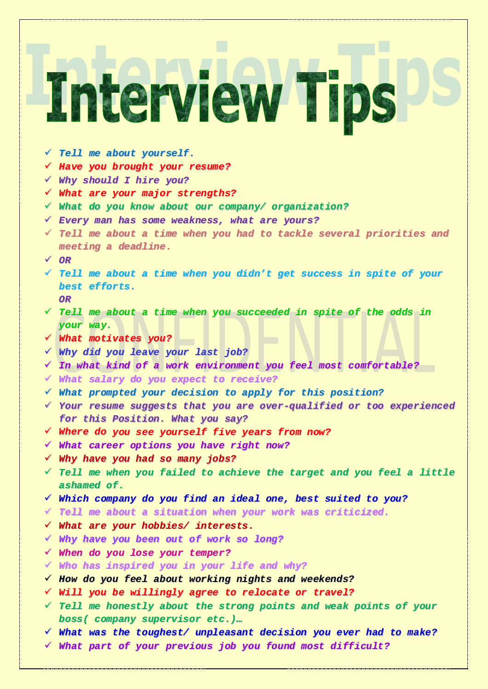# Interview Ti

- *Tell me about yourself.*
- *Have you brought your resume?*
- *Why should I hire you?*
- *What are your major strengths?*
- *What do you know about our company/ organization?*
- *Every man has some weakness, what are yours?*
- *Tell me about a time when you had to tackle several priorities and meeting a deadline.*
- *OR*
- *Tell me about a time when you didn't get success in spite of your best efforts. OR*
- *Tell me about a time when you succeeded in spite of the odds in your way.*
- *What motivates you?*
- *Why did you leave your last job?*
- *In what kind of a work environment you feel most comfortable?*
- *What salary do you expect to receive?*
- *What prompted your decision to apply for this position?*
- *Your resume suggests that you are over-qualified or too experienced for this Position. What you say?*
- *Where do you see yourself five years from now?*
- *What career options you have right now?*
- *Why have you had so many jobs?*
- *Tell me when you failed to achieve the target and you feel a little ashamed of.*
- *Which company do you find an ideal one, best suited to you?*
- *Tell me about a situation when your work was criticized.*
- *What are your hobbies/ interests.*
- *Why have you been out of work so long?*
- *When do you lose your temper?*
- *Who has inspired you in your life and why?*
- *How do you feel about working nights and weekends?*
- *Will you be willingly agree to relocate or travel?*
- *Tell me honestly about the strong points and weak points of your boss( company supervisor etc.)…*
- *What was the toughest/ unpleasant decision you ever had to make?*
- *What part of your previous job you found most difficult?*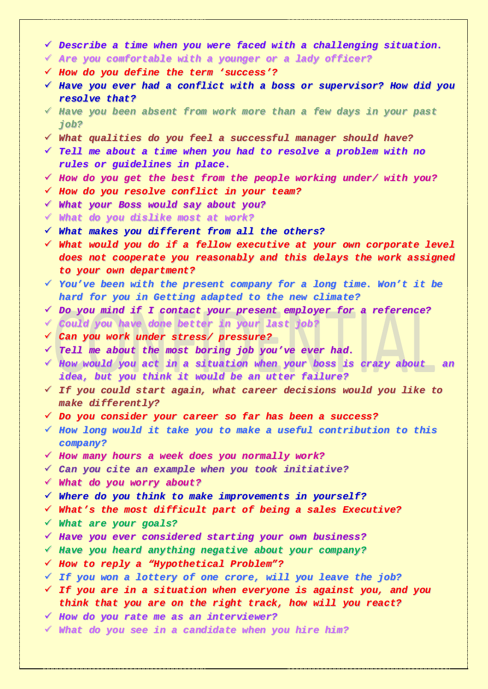- *Describe a time when you were faced with a challenging situation.*
- *Are you comfortable with a younger or a lady officer?*
- *How do you define the term 'success'?*
- *Have you ever had a conflict with a boss or supervisor? How did you resolve that?*
- *Have you been absent from work more than a few days in your past job?*
- *What qualities do you feel a successful manager should have?*
- *Tell me about a time when you had to resolve a problem with no rules or guidelines in place.*
- *How do you get the best from the people working under/ with you?*
- *How do you resolve conflict in your team?*
- *What your Boss would say about you?*
- *What do you dislike most at work?*
- *What makes you different from all the others?*
- *What would you do if a fellow executive at your own corporate level does not cooperate you reasonably and this delays the work assigned to your own department?*
- *You've been with the present company for a long time. Won't it be hard for you in Getting adapted to the new climate?*
- *Do you mind if I contact your present employer for a reference?*
- *Could you have done better in your last job?*
- *Can you work under stress/ pressure?*
- *Tell me about the most boring job you've ever had.*
- *How would you act in a situation when your boss is crazy about an idea, but you think it would be an utter failure?*
- *If you could start again, what career decisions would you like to make differently?*
- *Do you consider your career so far has been a success?*
- *How long would it take you to make a useful contribution to this company?*
- *How many hours a week does you normally work?*
- *Can you cite an example when you took initiative?*
- *What do you worry about?*
- *Where do you think to make improvements in yourself?*
- *What's the most difficult part of being a sales Executive?*
- *What are your goals?*
- *Have you ever considered starting your own business?*
- *Have you heard anything negative about your company?*
- *How to reply a "Hypothetical Problem"?*
- *If you won a lottery of one crore, will you leave the job?*
- *If you are in a situation when everyone is against you, and you think that you are on the right track, how will you react?*
- *How do you rate me as an interviewer?*
- *What do you see in a candidate when you hire him?*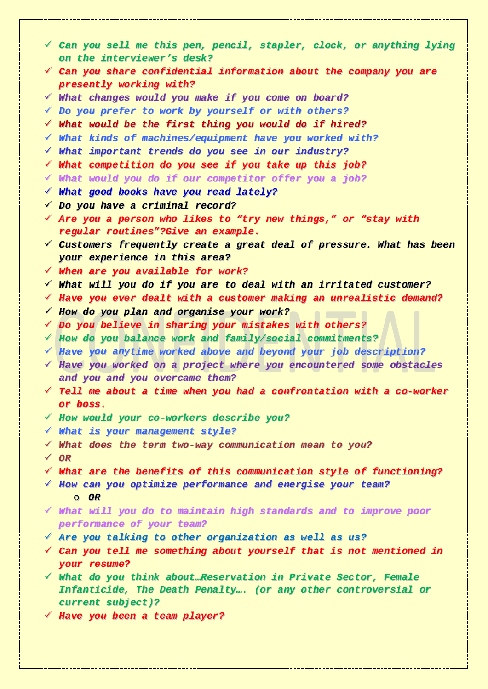- *Can you sell me this pen, pencil, stapler, clock, or anything lying on the interviewer's desk? Can you share confidential information about the company you are presently working with? What changes would you make if you come on board? Do you prefer to work by yourself or with others? What would be the first thing you would do if hired? What kinds of machines/equipment have you worked with? What important trends do you see in our industry? What competition do you see if you take up this job? What would you do if our competitor offer you a job? What good books have you read lately? Do you have a criminal record? Are you a person who likes to "try new things," or "stay with regular routines"?Give an example. Customers frequently create a great deal of pressure. What has been your experience in this area? When are you available for work? What will you do if you are to deal with an irritated customer? Have you ever dealt with a customer making an unrealistic demand? How do you plan and organise your work? Do you believe in sharing your mistakes with others? How do you balance work and family/social commitments? Have you anytime worked above and beyond your job description? Have you worked on a project where you encountered some obstacles and you and you overcame them? Tell me about a time when you had a confrontation with a co-worker or boss. How would your co-workers describe you? What is your management style? What does the term two-way communication mean to you? OR What are the benefits of this communication style of functioning? How can you optimize performance and energise your team?* o *OR What will you do to maintain high standards and to improve poor performance of your team? Are you talking to other organization as well as us? Can you tell me something about yourself that is not mentioned in your resume? What do you think about…Reservation in Private Sector, Female Infanticide, The Death Penalty…. (or any other controversial or current subject)?*
	- *Have you been a team player?*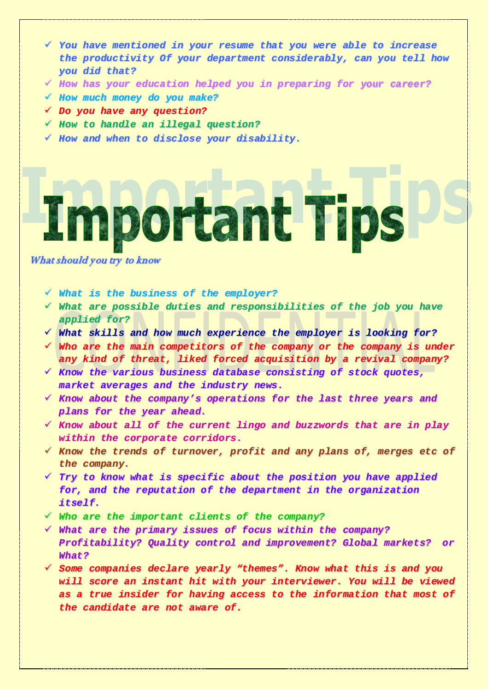- *You have mentioned in your resume that you were able to increase the productivity Of your department considerably, can you tell how you did that?*
- *How has your education helped you in preparing for your career?*
- *How much money do you make?*
- *Do you have any question?*
- *How to handle an illegal question?*
- *How and when to disclose your disability.*

Important Tips

What should you try to know

- *What is the business of the employer?*
- *What are possible duties and responsibilities of the job you have applied for?*
- *What skills and how much experience the employer is looking for?*
- *Who are the main competitors of the company or the company is under any kind of threat, liked forced acquisition by a revival company?*
- *Know the various business database consisting of stock quotes, market averages and the industry news.*
- *Know about the company's operations for the last three years and plans for the year ahead.*
- *Know about all of the current lingo and buzzwords that are in play within the corporate corridors.*
- *Know the trends of turnover, profit and any plans of, merges etc of the company.*
- *Try to know what is specific about the position you have applied for, and the reputation of the department in the organization itself.*
- *Who are the important clients of the company?*
- *What are the primary issues of focus within the company? Profitability? Quality control and improvement? Global markets? or What?*
- *Some companies declare yearly "themes". Know what this is and you will score an instant hit with your interviewer. You will be viewed as a true insider for having access to the information that most of the candidate are not aware of.*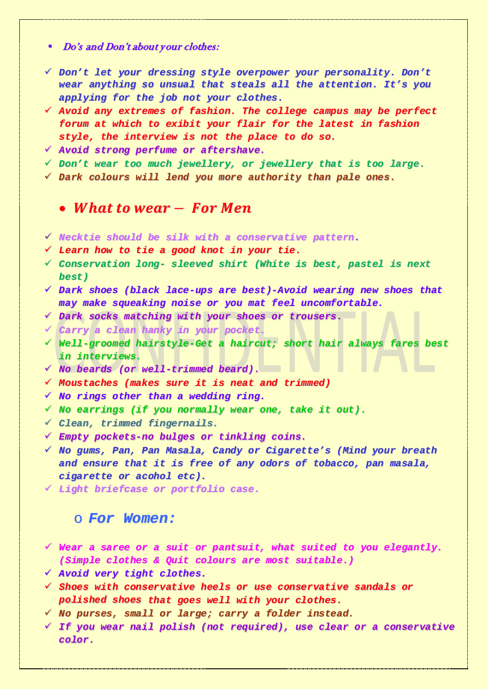### Do's and Don't about your clothes:

- *Don't let your dressing style overpower your personality. Don't wear anything so unsual that steals all the attention. It's you applying for the job not your clothes.*
- *Avoid any extremes of fashion. The college campus may be perfect forum at which to exibit your flair for the latest in fashion style, the interview is not the place to do so.*
- *Avoid strong perfume or aftershave.*
- *Don't wear too much jewellery, or jewellery that is too large.*
- *Dark colours will lend you more authority than pale ones.*

# • What to wear  $-$  For Men

- *Necktie should be silk with a conservative pattern.*
- *Learn how to tie a good knot in your tie.*
- *Conservation long- sleeved shirt (White is best, pastel is next best)*
- *Dark shoes (black lace-ups are best)-Avoid wearing new shoes that may make squeaking noise or you mat feel uncomfortable.*
- *Dark socks matching with your shoes or trousers.*
- *Carry a clean hanky in your pocket.*
- *Well-groomed hairstyle-Get a haircut; short hair always fares best in interviews.*
- *No beards (or well-trimmed beard).*
- *Moustaches (makes sure it is neat and trimmed)*
- *No rings other than a wedding ring.*
- *No earrings (if you normally wear one, take it out).*
- *Clean, trimmed fingernails.*
- *Empty pockets-no bulges or tinkling coins.*
- *No gums, Pan, Pan Masala, Candy or Cigarette's (Mind your breath and ensure that it is free of any odors of tobacco, pan masala, cigarette or acohol etc).*
- *Light briefcase or portfolio case.*

## o *For Women:*

- *Wear a saree or a suit or pantsuit, what suited to you elegantly. (Simple clothes & Quit colours are most suitable.)*
- *Avoid very tight clothes.*
- *Shoes with conservative heels or use conservative sandals or polished shoes that goes well with your clothes.*
- *No purses, small or large; carry a folder instead.*
- *If you wear nail polish (not required), use clear or a conservative color.*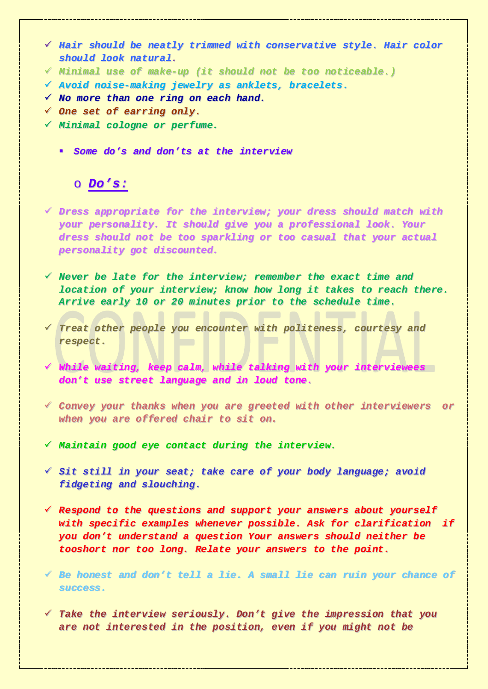- *Hair should be neatly trimmed with conservative style. Hair color should look natural.*
- *Minimal use of make-up (it should not be too noticeable.)*
- *Avoid noise-making jewelry as anklets, bracelets.*
- *No more than one ring on each hand.*
- *One set of earring only.*
- *Minimal cologne or perfume.*
	- *Some do's and don'ts at the interview*

# o *Do's:*

- *Dress appropriate for the interview; your dress should match with your personality. It should give you a professional look. Your dress should not be too sparkling or too casual that your actual personality got discounted.*
- *Never be late for the interview; remember the exact time and location of your interview; know how long it takes to reach there. Arrive early 10 or 20 minutes prior to the schedule time.*
- *Treat other people you encounter with politeness, courtesy and respect.*
- *While waiting, keep calm, while talking with your interviewees don't use street language and in loud tone.*
- *Convey your thanks when you are greeted with other interviewers or when you are offered chair to sit on.*
- *Maintain good eye contact during the interview.*
- *Sit still in your seat; take care of your body language; avoid fidgeting and slouching.*
- *Respond to the questions and support your answers about yourself with specific examples whenever possible. Ask for clarification if you don't understand a question Your answers should neither be tooshort nor too long. Relate your answers to the point.*
- *Be honest and don't tell a lie. A small lie can ruin your chance of success.*
- *Take the interview seriously. Don't give the impression that you are not interested in the position, even if you might not be*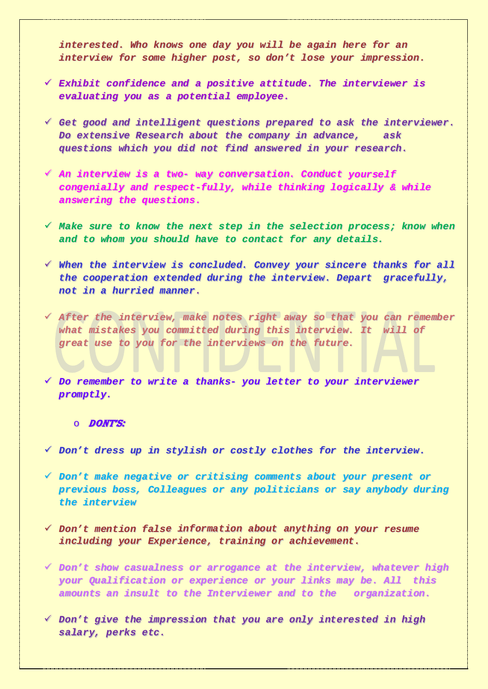*interested. Who knows one day you will be again here for an interview for some higher post, so don't lose your impression.*

- *Exhibit confidence and a positive attitude. The interviewer is evaluating you as a potential employee.*
- *Get good and intelligent questions prepared to ask the interviewer. Do extensive Research about the company in advance, ask questions which you did not find answered in your research.*
- *An interview is a two- way conversation. Conduct yourself congenially and respect-fully, while thinking logically & while answering the questions.*
- *Make sure to know the next step in the selection process; know when and to whom you should have to contact for any details.*
- *When the interview is concluded. Convey your sincere thanks for all the cooperation extended during the interview. Depart gracefully, not in a hurried manner.*
- *After the interview, make notes right away so that you can remember what mistakes you committed during this interview. It will of great use to you for the interviews on the future.*

 *Do remember to write a thanks- you letter to your interviewer promptly.*

### o DONT's:

- *Don't dress up in stylish or costly clothes for the interview.*
- *Don't make negative or critising comments about your present or previous boss, Colleagues or any politicians or say anybody during the interview*
- *Don't mention false information about anything on your resume including your Experience, training or achievement.*
- *Don't show casualness or arrogance at the interview, whatever high your Qualification or experience or your links may be. All this amounts an insult to the Interviewer and to the organization.*
- *Don't give the impression that you are only interested in high salary, perks etc.*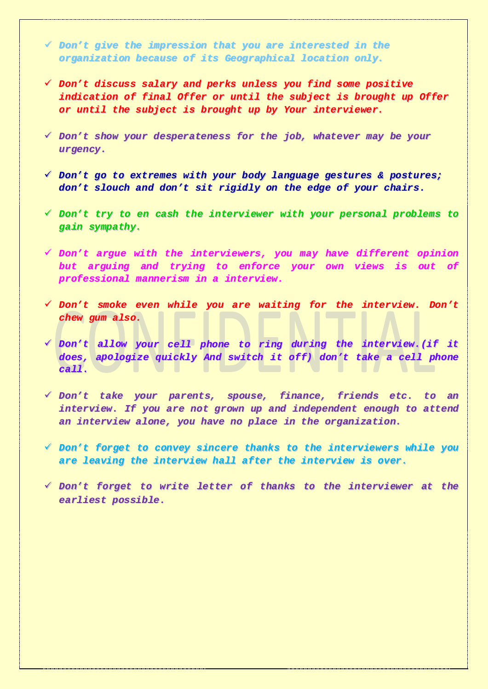*Don't give the impression that you are interested in the organization because of its Geographical location only.*

- *Don't discuss salary and perks unless you find some positive indication of final Offer or until the subject is brought up Offer or until the subject is brought up by Your interviewer.*
- *Don't show your desperateness for the job, whatever may be your urgency.*
- *Don't go to extremes with your body language gestures & postures; don't slouch and don't sit rigidly on the edge of your chairs.*
- *Don't try to en cash the interviewer with your personal problems to gain sympathy.*
- *Don't argue with the interviewers, you may have different opinion but arguing and trying to enforce your own views is out of professional mannerism in a interview.*
- *Don't smoke even while you are waiting for the interview. Don't chew gum also.*
- *Don't allow your cell phone to ring during the interview.(if it does, apologize quickly And switch it off) don't take a cell phone call.*
- *Don't take your parents, spouse, finance, friends etc. to an interview. If you are not grown up and independent enough to attend an interview alone, you have no place in the organization.*
- *Don't forget to convey sincere thanks to the interviewers while you are leaving the interview hall after the interview is over.*
- *Don't forget to write letter of thanks to the interviewer at the earliest possible.*